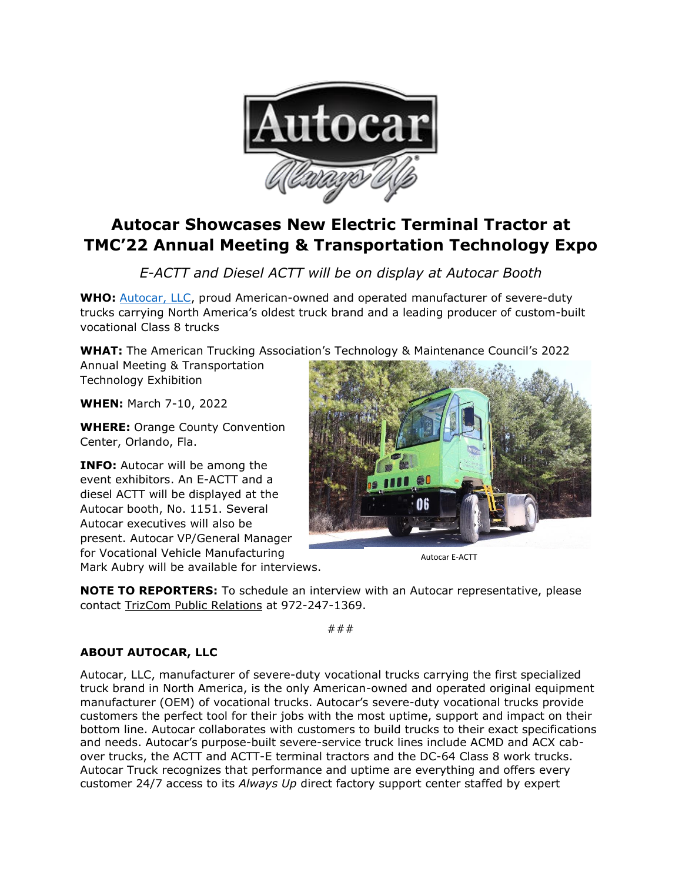

## **Autocar Showcases New Electric Terminal Tractor at TMC'22 Annual Meeting & Transportation Technology Expo**

*E-ACTT and Diesel ACTT will be on display at Autocar Booth*

**WHO:** [Autocar, LLC,](https://www.autocartruck.com/acx/?utm_source=media+alert&utm_medium=email&utm_campaign=Autocar+CNG+ACX+on+Display+at+WasteCon+2021) proud American-owned and operated manufacturer of severe-duty trucks carrying North America's oldest truck brand and a leading producer of custom-built vocational Class 8 trucks

**WHAT:** The American Trucking Association's Technology & Maintenance Council's 2022

Annual Meeting & Transportation Technology Exhibition

**WHEN:** March 7-10, 2022

**WHERE:** Orange County Convention Center, Orlando, Fla.

**INFO:** Autocar will be among the event exhibitors. An E-ACTT and a diesel ACTT will be displayed at the Autocar booth, No. 1151. Several Autocar executives will also be present. Autocar VP/General Manager for Vocational Vehicle Manufacturing Mark Aubry will be available for interviews.



Autocar E-ACTT

**NOTE TO REPORTERS:** To schedule an interview with an Autocar representative, please contact [TrizCom Public Relations](https://www.trizcom.com/?utm_source=Media+Alert&utm_medium=FLEETCON+2021&utm_campaign=Autocar+to+Showcase+DC-64R+Refuse+Truck+at+FLEETCON+2021+This+Month&utm_id=Autocar%2C+LLC) at 972-247-1369.

###

## **ABOUT AUTOCAR, LLC**

Autocar, LLC, manufacturer of severe-duty vocational trucks carrying the first specialized truck brand in North America, is the only American-owned and operated original equipment manufacturer (OEM) of vocational trucks. Autocar's severe-duty vocational trucks provide customers the perfect tool for their jobs with the most uptime, support and impact on their bottom line. Autocar collaborates with customers to build trucks to their exact specifications and needs. Autocar's purpose-built severe-service truck lines include ACMD and ACX cabover trucks, the ACTT and ACTT-E terminal tractors and the DC-64 Class 8 work trucks. Autocar Truck recognizes that performance and uptime are everything and offers every customer 24/7 access to its *Always Up* direct factory support center staffed by expert